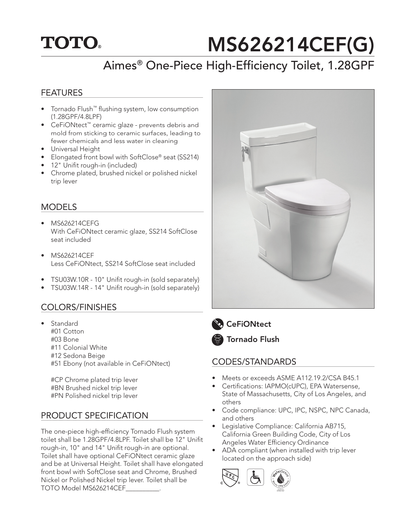## **TOTO.**

# MS626214CEF(G)

## Aimes® One-Piece High-Efficiency Toilet, 1.28GPF

#### FEATURES

- Tornado Flush™ flushing system, low consumption (1.28GPF/4.8LPF)
- CeFiONtect™ ceramic glaze prevents debris and mold from sticking to ceramic surfaces, leading to fewer chemicals and less water in cleaning
- Universal Height
- Elongated front bowl with SoftClose® seat (SS214)
- 12" Unifit rough-in (included)
- Chrome plated, brushed nickel or polished nickel trip lever

#### MODELS

- MS626214CEFG With CeFiONtect ceramic glaze, SS214 SoftClose seat included
- MS626214CEF Less CeFiONtect, SS214 SoftClose seat included
- TSU03W.10R 10" Unifit rough-in (sold separately)
- TSU03W.14R 14" Unifit rough-in (sold separately)

#### COLORS/FINISHES

- Standard
	- #01 Cotton
	- #03 Bone
	- #11 Colonial White
	- #12 Sedona Beige
	- #51 Ebony (not available in CeFiONtect)

#CP Chrome plated trip lever #BN Brushed nickel trip lever #PN Polished nickel trip lever

#### PRODUCT SPECIFICATION

The one-piece high-efficiency Tornado Flush system toilet shall be 1.28GPF/4.8LPF. Toilet shall be 12" Unifit rough-in, 10" and 14" Unifit rough-in are optional. Toilet shall have optional CeFiONtect ceramic glaze and be at Universal Height. Toilet shall have elongated front bowl with SoftClose seat and Chrome, Brushed Nickel or Polished Nickel trip lever. Toilet shall be TOTO Model MS626214CEF\_\_\_\_\_\_\_\_\_\_.





**CeFiONtect** 



#### CODES/STANDARDS

- Meets or exceeds ASME A112.19.2/CSA B45.1
- Certifications: IAPMO(cUPC), EPA Watersense, State of Massachusetts, City of Los Angeles, and others
- Code compliance: UPC, IPC, NSPC, NPC Canada, and others
- Legislative Compliance: California AB715, California Green Building Code, City of Los Angeles Water Efficiency Ordinance
- ADA compliant (when installed with trip lever located on the approach side)